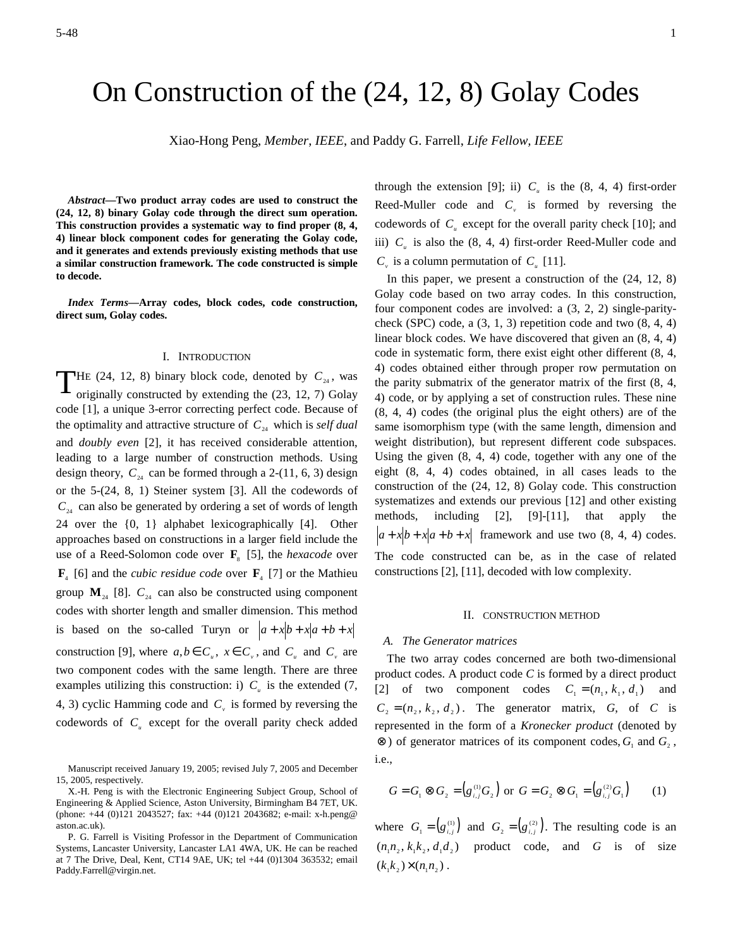# On Construction of the (24, 12, 8) Golay Codes

Xiao-Hong Peng, *Member*, *IEEE*, and Paddy G. Farrell, *Life Fellow, IEEE*

*Abstract***—Two product array codes are used to construct the (24, 12, 8) binary Golay code through the direct sum operation. This construction provides a systematic way to find proper (8, 4, 4) linear block component codes for generating the Golay code, and it generates and extends previously existing methods that use a similar construction framework. The code constructed is simple to decode.** 

*Index Terms***—Array codes, block codes, code construction, direct sum, Golay codes.** 

### I. INTRODUCTION

**T**HE (24, 12, 8) binary block code, denoted by  $C_{24}$ , was originally constructed by extending the (23, 12, 7) Golay originally constructed by extending the (23, 12, 7) Golay code [1], a unique 3-error correcting perfect code. Because of the optimality and attractive structure of  $C_{24}$  which is *self dual* and *doubly even* [2], it has received considerable attention, leading to a large number of construction methods. Using design theory,  $C_{24}$  can be formed through a 2-(11, 6, 3) design or the 5-(24, 8, 1) Steiner system [3]. All the codewords of  $C_{24}$  can also be generated by ordering a set of words of length 24 over the {0, 1} alphabet lexicographically [4]. Other approaches based on constructions in a larger field include the use of a Reed-Solomon code over  $\mathbf{F}_{8}$  [5], the *hexacode* over  $\mathbf{F}_4$  [6] and the *cubic residue code* over  $\mathbf{F}_4$  [7] or the Mathieu group  $M_{24}$  [8].  $C_{24}$  can also be constructed using component codes with shorter length and smaller dimension. This method is based on the so-called Turyn or  $a + x[b + x(a+b+x)]$ construction [9], where  $a, b \in C_u$ ,  $x \in C_v$ , and  $C_u$  and  $C_v$  are two component codes with the same length. There are three examples utilizing this construction: i)  $C_u$  is the extended (7, 4, 3) cyclic Hamming code and  $C<sub>v</sub>$  is formed by reversing the codewords of  $C<sub>u</sub>$  except for the overall parity check added

Manuscript received January 19, 2005; revised July 7, 2005 and December 15, 2005, respectively.

through the extension [9]; ii)  $C_u$  is the (8, 4, 4) first-order Reed-Muller code and  $C_v$  is formed by reversing the codewords of  $C_u$  except for the overall parity check [10]; and iii)  $C_{\mu}$  is also the (8, 4, 4) first-order Reed-Muller code and  $C_v$  is a column permutation of  $C_u$  [11].

In this paper, we present a construction of the (24, 12, 8) Golay code based on two array codes. In this construction, four component codes are involved: a (3, 2, 2) single-paritycheck (SPC) code, a  $(3, 1, 3)$  repetition code and two  $(8, 4, 4)$ linear block codes. We have discovered that given an (8, 4, 4) code in systematic form, there exist eight other different (8, 4, 4) codes obtained either through proper row permutation on the parity submatrix of the generator matrix of the first (8, 4, 4) code, or by applying a set of construction rules. These nine (8, 4, 4) codes (the original plus the eight others) are of the same isomorphism type (with the same length, dimension and weight distribution), but represent different code subspaces. Using the given (8, 4, 4) code, together with any one of the eight (8, 4, 4) codes obtained, in all cases leads to the construction of the (24, 12, 8) Golay code. This construction systematizes and extends our previous [12] and other existing methods, including [2], [9]-[11], that apply the  $a + x[b + x[a + b + x]$  framework and use two (8, 4, 4) codes. The code constructed can be, as in the case of related constructions [2], [11], decoded with low complexity.

#### II. CONSTRUCTION METHOD

#### *A. The Generator matrices*

The two array codes concerned are both two-dimensional product codes. A product code *C* is formed by a direct product [2] of two component codes  $C_1 = (n_1, k_1, d_1)$  and  $C_2 = (n_2, k_2, d_2)$ . The generator matrix, *G*, of *C* is represented in the form of a *Kronecker product* (denoted by ⊗) of generator matrices of its component codes,  $G_1$  and  $G_2$ , i.e.,

$$
G = G_1 \otimes G_2 = (g_{i,j}^{(1)} G_2) \text{ or } G = G_2 \otimes G_1 = (g_{i,j}^{(2)} G_1) \qquad (1)
$$

where  $G_1 = (g_{i,j}^{(1)})$  and  $G_2 = (g_{i,j}^{(2)})$ . The resulting code is an  $(n_1 n_2, k_1 k_2, d_1 d_2)$  product code, and *G* is of size  $(k_1 k_2) \times (n_1 n_2)$ .

X.-H. Peng is with the Electronic Engineering Subject Group, School of Engineering & Applied Science, Aston University, Birmingham B4 7ET, UK. (phone: +44 (0)121 2043527; fax: +44 (0)121 2043682; e-mail: x-h.peng@ aston.ac.uk).

P. G. Farrell is Visiting Professor in the Department of Communication Systems, Lancaster University, Lancaster LA1 4WA, UK. He can be reached at 7 The Drive, Deal, Kent, CT14 9AE, UK; tel +44 (0)1304 363532; email Paddy.Farrell@virgin.net.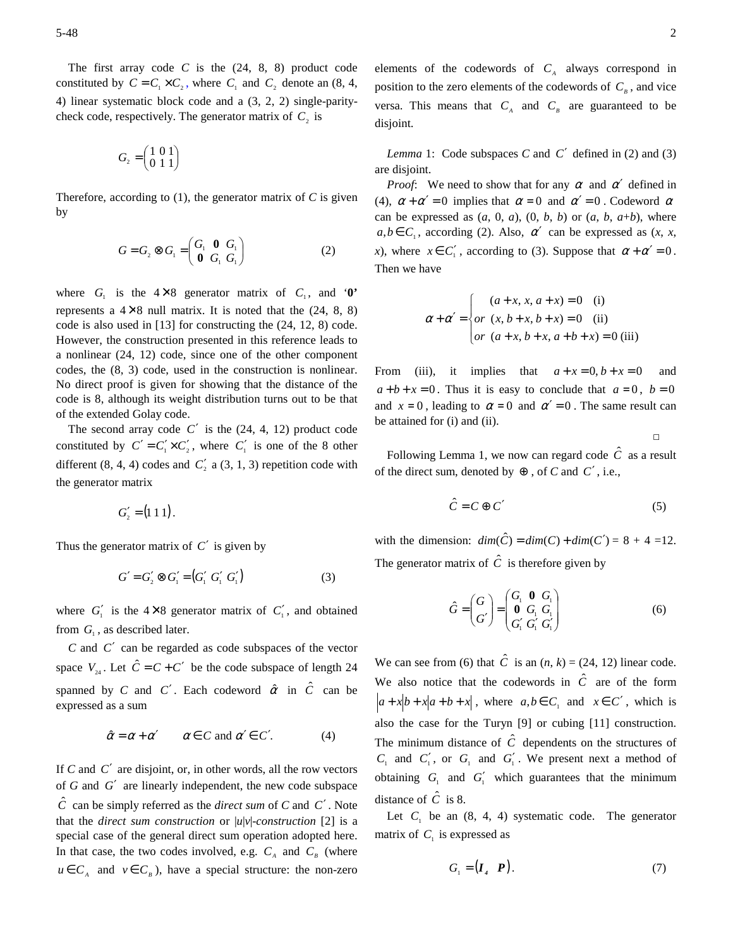The first array code  $C$  is the  $(24, 8, 8)$  product code constituted by  $C = C_1 \times C_2$ , where  $C_1$  and  $C_2$  denote an (8, 4, 4) linear systematic block code and a (3, 2, 2) single-paritycheck code, respectively. The generator matrix of  $C_2$  is

$$
G_{_2}=\begin{pmatrix}1&0&1\\0&1&1\end{pmatrix}
$$

Therefore, according to  $(1)$ , the generator matrix of  $C$  is given by

$$
G = G_2 \otimes G_1 = \begin{pmatrix} G_1 & \mathbf{0} & G_1 \\ \mathbf{0} & G_1 & G_1 \end{pmatrix}
$$
 (2)

where  $G_1$  is the  $4 \times 8$  generator matrix of  $C_1$ , and '**0'** represents a  $4\times8$  null matrix. It is noted that the  $(24, 8, 8)$ code is also used in [13] for constructing the (24, 12, 8) code. However, the construction presented in this reference leads to a nonlinear (24, 12) code, since one of the other component codes, the (8, 3) code, used in the construction is nonlinear. No direct proof is given for showing that the distance of the code is 8, although its weight distribution turns out to be that of the extended Golay code.

The second array code  $C'$  is the  $(24, 4, 12)$  product code constituted by  $C' = C'_1 \times C'_2$ , where  $C'_1$  is one of the 8 other different  $(8, 4, 4)$  codes and  $C'_2$  a  $(3, 1, 3)$  repetition code with the generator matrix

$$
G'_{2} = (1\;1\;1).
$$

Thus the generator matrix of  $C'$  is given by

$$
G' = G'_2 \otimes G'_1 = (G'_1 \ G'_1 \ G'_1)
$$
 (3)

where  $G_1'$  is the  $4 \times 8$  generator matrix of  $C_1'$ , and obtained from  $G_1$ , as described later.

*C* and *C*′ can be regarded as code subspaces of the vector space  $V_{24}$ . Let  $\hat{C} = C + C'$  be the code subspace of length 24 spanned by *C* and *C'*. Each codeword  $\hat{\alpha}$  in  $\hat{C}$  can be expressed as a sum

$$
\hat{\alpha} = \alpha + \alpha' \qquad \alpha \in C \text{ and } \alpha' \in C'. \tag{4}
$$

If *C* and *C*′ are disjoint, or, in other words, all the row vectors of *G* and *G*′ are linearly independent, the new code subspace  $\hat{C}$  can be simply referred as the *direct sum* of *C* and *C'*. Note that the *direct sum construction* or |*u*|*v*|-*construction* [2] is a special case of the general direct sum operation adopted here. In that case, the two codes involved, e.g.  $C_A$  and  $C_B$  (where  $u \in C_A$  and  $v \in C_B$ ), have a special structure: the non-zero

elements of the codewords of  $C_A$  always correspond in position to the zero elements of the codewords of  $C_B$ , and vice versa. This means that  $C_A$  and  $C_B$  are guaranteed to be disjoint.

*Lemma* 1: Code subspaces *C* and *C*′ defined in (2) and (3) are disjoint.

*Proof*: We need to show that for any  $\alpha$  and  $\alpha'$  defined in (4),  $\alpha + \alpha' = 0$  implies that  $\alpha = 0$  and  $\alpha' = 0$ . Codeword  $\alpha$ can be expressed as  $(a, 0, a)$ ,  $(0, b, b)$  or  $(a, b, a+b)$ , where  $a, b \in C_1$ , according (2). Also,  $\alpha'$  can be expressed as  $(x, x, y)$ *x*), where  $x \in C'_1$ , according to (3). Suppose that  $\alpha + \alpha' = 0$ . Then we have

$$
\alpha + \alpha' = \begin{cases} (a + x, x, a + x) = 0 & \text{(i)} \\ or (x, b + x, b + x) = 0 & \text{(ii)} \\ or (a + x, b + x, a + b + x) = 0 & \text{(iii)} \end{cases}
$$

From (iii), it implies that  $a + x = 0$ ,  $b + x = 0$  and  $a+b+x=0$ . Thus it is easy to conclude that  $a=0$ ,  $b=0$ and  $x = 0$ , leading to  $\alpha = 0$  and  $\alpha' = 0$ . The same result can be attained for (i) and (ii).

□

Following Lemma 1, we now can regard code  $\hat{c}$  as a result of the direct sum, denoted by ⊕ , of *C* and *C*′ , i.e.,

$$
\hat{C} = C \oplus C' \tag{5}
$$

with the dimension:  $dim(\hat{C}) = dim(C) + dim(C') = 8 + 4 = 12.$ The generator matrix of  $\hat{C}$  is therefore given by

$$
\hat{G} = \begin{pmatrix} G \\ G' \end{pmatrix} = \begin{pmatrix} G_1 & \mathbf{0} & G_1 \\ \mathbf{0} & G_1 & G_1 \\ G'_1 & G'_1 & G'_1 \end{pmatrix}
$$
(6)

We can see from (6) that  $\hat{C}$  is an  $(n, k) = (24, 12)$  linear code. We also notice that the codewords in  $\hat{C}$  are of the form  $a + x[b + x[a + b + x]$ , where  $a, b \in C_1$  and  $x \in C'$ , which is also the case for the Turyn [9] or cubing [11] construction. The minimum distance of  $\hat{C}$  dependents on the structures of  $C_1$  and  $C_1'$ , or  $G_1$  and  $G_1'$ . We present next a method of obtaining  $G_1$  and  $G_1'$  which guarantees that the minimum distance of  $\hat{C}$  is 8.

Let  $C_1$  be an  $(8, 4, 4)$  systematic code. The generator matrix of  $C_1$  is expressed as

$$
G_{1} = (\boldsymbol{I}_{4} \quad \boldsymbol{P}). \tag{7}
$$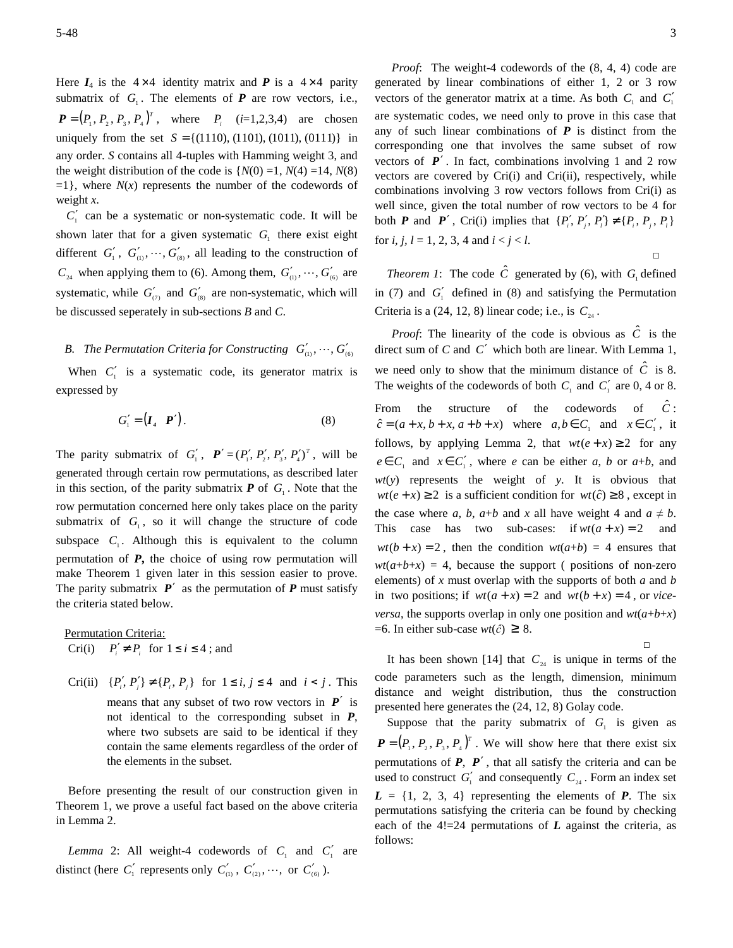Here  $I_4$  is the  $4 \times 4$  identity matrix and **P** is a  $4 \times 4$  parity submatrix of  $G_1$ . The elements of  $P$  are row vectors, i.e.,  $P = (P_1, P_2, P_3, P_4)^T$ , where  $P_i$  (*i*=1,2,3,4) are chosen uniquely from the set  $S = \{(1110), (1101), (1011), (0111)\}\$ in any order. *S* contains all 4-tuples with Hamming weight 3, and the weight distribution of the code is  ${N(0) = 1, N(4) = 14, N(8)}$  $=1$ }, where *N*(*x*) represents the number of the codewords of weight *x*.

 $C_1'$  can be a systematic or non-systematic code. It will be shown later that for a given systematic  $G<sub>1</sub>$  there exist eight different  $G'_{1}$ ,  $G'_{(1)}$ ,  $\dots$ ,  $G'_{(8)}$ , all leading to the construction of  $C_{24}$  when applying them to (6). Among them,  $G'_{(0)}, \dots, G'_{(6)}$  are systematic, while  $G'_{(7)}$  and  $G'_{(8)}$  are non-systematic, which will be discussed seperately in sub-sections *B* and *C*.

## *B. The Permutation Criteria for Constructing*  $G'_{0}$ ,  $\dots$ ,  $G'_{6}$

When  $C_1'$  is a systematic code, its generator matrix is expressed by

$$
G'_{1} = \begin{pmatrix} I & P' \end{pmatrix}.
$$
 (8)

The parity submatrix of  $G'_1$ ,  $P' = (P'_1, P'_2, P'_3, P'_4)^T$ , will be generated through certain row permutations, as described later in this section, of the parity submatrix  $P$  of  $G_1$ . Note that the row permutation concerned here only takes place on the parity submatrix of  $G_1$ , so it will change the structure of code subspace  $C_1$ . Although this is equivalent to the column permutation of *P***,** the choice of using row permutation will make Theorem 1 given later in this session easier to prove. The parity submatrix  $P'$  as the permutation of  $P$  must satisfy the criteria stated below.

Permutation Criteria: Cri(i)  $P'_i \neq P_i$  for  $1 \leq i \leq 4$ ; and

Cri(ii)  $\{P'_i, P'_j\} \neq \{P_i, P_j\}$  for  $1 \le i, j \le 4$  and  $i < j$ . This means that any subset of two row vectors in *P*′ is not identical to the corresponding subset in *P*, where two subsets are said to be identical if they contain the same elements regardless of the order of the elements in the subset.

Before presenting the result of our construction given in Theorem 1, we prove a useful fact based on the above criteria in Lemma 2.

*Lemma* 2: All weight-4 codewords of  $C_1$  and  $C_1'$  are distinct (here  $C'_1$  represents only  $C'_{(1)}$ ,  $C'_{(2)}$ ,  $\cdots$ , or  $C'_{(6)}$ ).

*Proof*: The weight-4 codewords of the (8, 4, 4) code are generated by linear combinations of either 1, 2 or 3 row vectors of the generator matrix at a time. As both  $C_1$  and  $C_1'$ are systematic codes, we need only to prove in this case that any of such linear combinations of  $P$  is distinct from the corresponding one that involves the same subset of row vectors of  $P'$ . In fact, combinations involving 1 and 2 row vectors are covered by Cri(i) and Cri(ii), respectively, while combinations involving 3 row vectors follows from Cri(i) as well since, given the total number of row vectors to be 4 for both *P* and *P'*, Cri(i) implies that  $\{P'_i, P'_j, P'_i\} \neq \{P_i, P_j, P_i\}$ for *i*, *j*,  $l = 1, 2, 3, 4$  and  $i < j < l$ . □

*Theorem 1*: The code  $\hat{C}$  generated by (6), with  $G_1$  defined in (7) and  $G_1'$  defined in (8) and satisfying the Permutation Criteria is a  $(24, 12, 8)$  linear code; i.e., is  $C_{24}$ .

*Proof*: The linearity of the code is obvious as  $\hat{C}$  is the direct sum of *C* and *C*′ which both are linear. With Lemma 1, we need only to show that the minimum distance of  $\hat{C}$  is 8. The weights of the codewords of both  $C_1$  and  $C_1'$  are 0, 4 or 8. From the structure of the codewords of  $\hat{C}$ :  $\hat{c} = (a + x, b + x, a + b + x)$  where  $a, b \in C_1$  and  $x \in C'_1$ , it follows, by applying Lemma 2, that  $wt(e + x) \ge 2$  for any  $e \in C_1$  and  $x \in C'_1$ , where *e* can be either *a*, *b* or *a*+*b*, and *wt*(*y*) represents the weight of *y*. It is obvious that  $wt(e+x) \geq 2$  is a sufficient condition for  $wt(\hat{c}) \geq 8$ , except in the case where *a*, *b*, *a*+*b* and *x* all have weight 4 and  $a \neq b$ . This case has two sub-cases: if  $wt(a + x) = 2$  and  $wt(b+x) = 2$ , then the condition  $wt(a+b) = 4$  ensures that  $wt(a+b+x) = 4$ , because the support ( positions of non-zero elements) of *x* must overlap with the supports of both *a* and *b* in two positions; if  $wt(a+x) = 2$  and  $wt(b+x) = 4$ , or *viceversa*, the supports overlap in only one position and  $wt(a+b+x)$  $=6$ . In either sub-case  $wt(\hat{c}) \geq 8$ .

It has been shown [14] that  $C_{24}$  is unique in terms of the code parameters such as the length, dimension, minimum distance and weight distribution, thus the construction presented here generates the (24, 12, 8) Golay code.

□

Suppose that the parity submatrix of  $G_1$  is given as  $P = (P_1, P_2, P_3, P_4)^T$ . We will show here that there exist six permutations of *P*, *P*′ , that all satisfy the criteria and can be used to construct  $G'_{1}$  and consequently  $C_{24}$ . Form an index set  $L = \{1, 2, 3, 4\}$  representing the elements of  $P$ . The six permutations satisfying the criteria can be found by checking each of the  $4! = 24$  permutations of  $L$  against the criteria, as follows: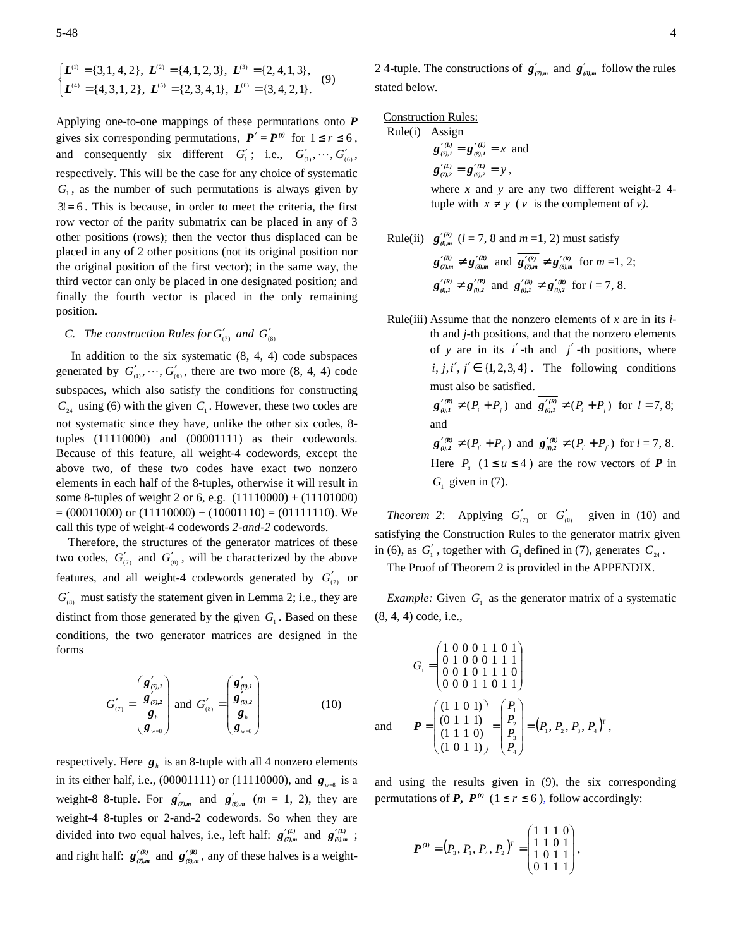$$
\begin{cases}\nL^{(1)} = \{3, 1, 4, 2\}, & L^{(2)} = \{4, 1, 2, 3\}, \\
L^{(3)} = \{2, 4, 1, 3\}, \\
L^{(4)} = \{4, 3, 1, 2\}, & L^{(5)} = \{2, 3, 4, 1\}, \\
L^{(6)} = \{3, 4, 2, 1\}.\n\end{cases}
$$
\n(9)

Applying one-to-one mappings of these permutations onto *P* gives six corresponding permutations,  $P' = P^{(r)}$  for  $1 \le r \le 6$ , and consequently six different  $G'_1$ ; i.e.,  $G'_{(i)}, \dots, G'_{(6)}$ , respectively. This will be the case for any choice of systematic  $G<sub>1</sub>$ , as the number of such permutations is always given by  $3! = 6$ . This is because, in order to meet the criteria, the first row vector of the parity submatrix can be placed in any of 3 other positions (rows); then the vector thus displaced can be placed in any of 2 other positions (not its original position nor the original position of the first vector); in the same way, the third vector can only be placed in one designated position; and finally the fourth vector is placed in the only remaining position.

# *C. The construction Rules for*  $G'_{(7)}$  *and*  $G'_{(8)}$

In addition to the six systematic  $(8, 4, 4)$  code subspaces generated by  $G'_{(0)}, \dots, G'_{(6)}$ , there are two more (8, 4, 4) code subspaces, which also satisfy the conditions for constructing  $C_{24}$  using (6) with the given  $C_1$ . However, these two codes are not systematic since they have, unlike the other six codes, 8 tuples (11110000) and (00001111) as their codewords. Because of this feature, all weight-4 codewords, except the above two, of these two codes have exact two nonzero elements in each half of the 8-tuples, otherwise it will result in some 8-tuples of weight 2 or 6, e.g. (11110000) + (11101000)  $= (00011000)$  or  $(11110000) + (10001110) = (01111110)$ . We call this type of weight-4 codewords *2-and-2* codewords.

Therefore, the structures of the generator matrices of these two codes,  $G'_{(7)}$  and  $G'_{(8)}$ , will be characterized by the above features, and all weight-4 codewords generated by  $G'_{(7)}$  or  $G'_{(8)}$  must satisfy the statement given in Lemma 2; i.e., they are distinct from those generated by the given  $G_1$ . Based on these conditions, the two generator matrices are designed in the forms

$$
G'_{(7)} = \begin{pmatrix} \mathbf{g}'_{(7),1} \\ \mathbf{g}'_{(7),2} \\ \mathbf{g}_{_h} \\ \mathbf{g}_{_{w=8}} \end{pmatrix} \text{ and } G'_{(8)} = \begin{pmatrix} \mathbf{g}'_{(8),1} \\ \mathbf{g}'_{(8),2} \\ \mathbf{g}'_{(8),2} \\ \mathbf{g}_{_h} \\ \mathbf{g}_{_{w=8}} \end{pmatrix}
$$
 (10)

respectively. Here  $g<sub>n</sub>$  is an 8-tuple with all 4 nonzero elements in its either half, i.e.,  $(00001111)$  or  $(11110000)$ , and  $g_{w=8}$  is a weight-8 8-tuple. For  $g'_{(7),m}$  and  $g'_{(8),m}$  ( $m = 1, 2$ ), they are weight-4 8-tuples or 2-and-2 codewords. So when they are divided into two equal halves, i.e., left half:  $g_{(7),m}^{\prime (L)}$  and  $g_{(8),m}^{\prime (L)}$ ; and right half:  $g_{(7),m}^{\prime(R)}$  and  $g_{(8),m}^{\prime(R)}$ , any of these halves is a weightConstruction Rules:

Rule(i) Assign  $g'_{(7),1}^{\prime(L)} = g'_{(8),1}^{\prime(L)} = x$  and  $g'_{(7),2} = g'_{(8),2} = y$ ,

> where *x* and *y* are any two different weight-2 4 tuple with  $\bar{x} \neq y$  ( $\bar{v}$  is the complement of *v*).

- Rule(ii)  $g'_{(l),m}$  (*l* = 7, 8 and *m* = 1, 2) must satisfy  $g'^{(R)}_{(7),m} \neq g'^{(R)}_{(8),m}$  and  $g'^{(R)}_{(7),m} \neq g'^{(R)}_{(8),m}$  for  $m=1, 2;$  $g'^{(R)}_{(l),1} \neq g'^{(R)}_{(l),2}$  and  $g'^{(R)}_{(l),1} \neq g'^{(R)}_{(l),2}$  for  $l = 7, 8$ .
- Rule(iii) Assume that the nonzero elements of *x* are in its *i*th and *j*-th positions, and that the nonzero elements of *y* are in its  $i'$ -th and  $j'$ -th positions, where  $i, j, i', j' \in \{1, 2, 3, 4\}$ . The following conditions must also be satisfied.  $\mathbf{g}_{(l),l}^{\prime\,(R)} \neq (P_i + P_j)$  and  $\mathbf{g}_{(l),l}^{\prime\,(R)} \neq (P_i + P_j)$  for  $l = 7,8;$ and  $g_{(l),2}^{\prime(R)} \neq (P_{i'} + P_{j'})$  and  $g_{(l),2}^{\prime(R)} \neq (P_{i'} + P_{j'})$  for  $l = 7, 8$ . Here  $P_{u}$  (1 ≤ *u* ≤ 4) are the row vectors of *P* in

*Theorem 2*: Applying  $G'_{(7)}$  or  $G'_{(8)}$  given in (10) and satisfying the Construction Rules to the generator matrix given in (6), as  $G'_1$ , together with  $G_1$  defined in (7), generates  $C_{24}$ .

The Proof of Theorem 2 is provided in the APPENDIX.

 $G_1$  given in (7).

*Example:* Given  $G_1$  as the generator matrix of a systematic (8, 4, 4) code, i.e.,

$$
G_{1} = \begin{pmatrix} 1 & 0 & 0 & 0 & 1 & 1 & 0 & 1 \\ 0 & 1 & 0 & 0 & 0 & 1 & 1 & 1 \\ 0 & 0 & 1 & 0 & 1 & 1 & 1 & 0 \\ 0 & 0 & 0 & 1 & 1 & 0 & 1 & 1 \end{pmatrix}
$$
  
and 
$$
\boldsymbol{P} = \begin{pmatrix} (1 & 1 & 0 & 1) \\ (0 & 1 & 1 & 1) \\ (1 & 1 & 1 & 0) \\ (1 & 0 & 1 & 1) \end{pmatrix} = \begin{pmatrix} P_{1} \\ P_{2} \\ P_{3} \\ P_{4} \end{pmatrix} = (P_{1}, P_{2}, P_{3}, P_{4})^{T},
$$

and using the results given in (9), the six corresponding permutations of *P*,  $P^{(r)}$  (1 ≤ *r* ≤ 6), follow accordingly:

$$
\boldsymbol{P}^{(1)} = (P_3, P_1, P_4, P_2)^T = \begin{pmatrix} 1 & 1 & 1 & 0 \\ 1 & 1 & 0 & 1 \\ 1 & 0 & 1 & 1 \\ 0 & 1 & 1 & 1 \end{pmatrix},
$$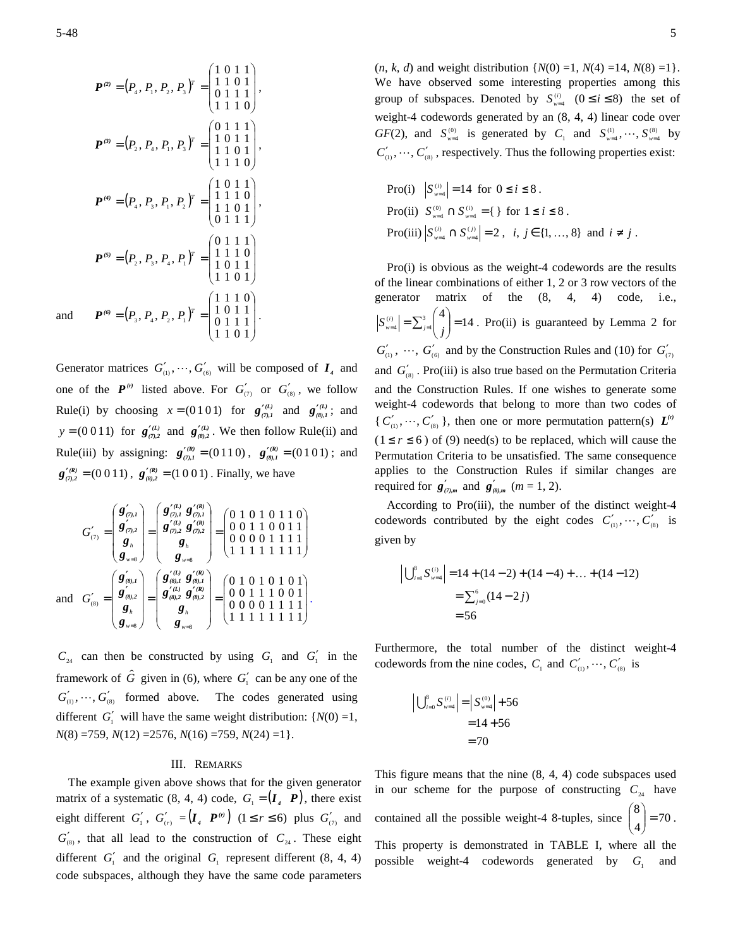$$
\boldsymbol{P}^{(2)} = (P_4, P_1, P_2, P_3)^T = \begin{pmatrix} 1 & 0 & 1 & 1 \\ 1 & 1 & 0 & 1 \\ 0 & 1 & 1 & 1 \\ 1 & 1 & 1 & 0 \end{pmatrix},
$$

$$
\boldsymbol{P}^{(3)} = (P_2, P_4, P_1, P_3)^T = \begin{pmatrix} 0 & 1 & 1 & 1 \\ 1 & 0 & 1 & 1 \\ 1 & 1 & 0 & 1 \\ 1 & 1 & 1 & 0 \end{pmatrix},
$$

$$
\boldsymbol{P}^{(4)} = (P_4, P_3, P_1, P_2)^T = \begin{pmatrix} 1 & 0 & 1 & 1 \\ 1 & 1 & 1 & 0 \\ 1 & 1 & 0 & 1 \\ 1 & 1 & 0 & 1 \end{pmatrix},
$$

$$
\boldsymbol{P}^{(5)} = (P_2, P_3, P_4, P_1)^T = \begin{pmatrix} 0 & 1 & 1 & 1 \\ 1 & 1 & 1 & 0 \\ 1 & 0 & 1 & 1 \\ 1 & 0 & 1 & 1 \end{pmatrix},
$$
and
$$
\boldsymbol{P}^{(6)} = (P_3, P_4, P_2, P_1)^T = \begin{pmatrix} 1 & 1 & 1 & 0 \\ 1 & 0 & 1 & 1 \\ 0 & 1 & 1 & 1 \\ 1 & 1 & 0 & 1 \end{pmatrix}.
$$

Generator matrices  $G'_{(1)}$ ,  $\dots$ ,  $G'_{(6)}$  will be composed of  $I_4$  and one of the  $P^{(r)}$  listed above. For  $G'_{(7)}$  or  $G'_{(8)}$ , we follow Rule(i) by choosing  $x = (0101)$  for  $g_{(7),1}^{\prime(1)}$  and  $g_{(8),1}^{\prime(1)}$ ; and *y* = (0.0.1.1) for  $g'^{(L)}_{(7),2}$  and  $g'^{(L)}_{(8),2}$ . We then follow Rule(ii) and Rule(iii) by assigning:  $g_{(7),1}^{(R)} = (0110)$ ,  $g_{(8),1}^{(R)} = (0101)$ ; and  $g_{(7,2)}^{\prime (R)} = (0\ 0\ 1\ 1), g_{(8,2)}^{\prime (R)} = (1\ 0\ 0\ 1)$ . Finally, we have

$$
G'_{(7)} = \begin{pmatrix} \mathbf{g}'_{(7),1} \\ \mathbf{g}'_{(7),2} \\ \mathbf{g}_{n} \\ \mathbf{g}_{n} \end{pmatrix} = \begin{pmatrix} \mathbf{g}'^{(1)}_{(7),1} & \mathbf{g}'^{(R)}_{(7),2} \\ \mathbf{g}'^{(7),2}_{(7),2} & \mathbf{g}'^{(7),2}_{(7),2} \\ \mathbf{g}_{n} \\ \mathbf{g}_{n} \end{pmatrix} = \begin{pmatrix} 0 & 1 & 0 & 1 & 0 & 1 & 1 & 0 \\ 0 & 0 & 1 & 1 & 0 & 0 & 1 & 1 \\ 0 & 0 & 0 & 0 & 1 & 1 & 1 & 1 & 1 \\ 0 & 0 & 0 & 0 & 1 & 1 & 1 & 1 & 1 \end{pmatrix}
$$
  
and 
$$
G'_{(8)} = \begin{pmatrix} \mathbf{g}'_{(8),1} \\ \mathbf{g}'_{(8),2} \\ \mathbf{g}'_{(8),2} \\ \mathbf{g}_{(8),3} \\ \mathbf{g}_{(8),4} \end{pmatrix} = \begin{pmatrix} \mathbf{g}'^{(1)}_{(8),1} & \mathbf{g}'^{(R)}_{(8),1} \\ \mathbf{g}'^{(1)}_{(8),2} & \mathbf{g}'^{(2)}_{(8),2} \\ \mathbf{g}'^{(2)}_{(8),2} & \mathbf{g}'^{(3)}_{(8),2} \\ \mathbf{g}_{(8),3} \end{pmatrix} = \begin{pmatrix} 0 & 1 & 0 & 1 & 0 & 1 & 0 & 1 \\ 0 & 0 & 1 & 1 & 1 & 0 & 0 & 1 \\ 0 & 0 & 1 & 1 & 1 & 0 & 0 & 1 \\ 0 & 0 & 0 & 0 & 1 & 1 & 1 & 1 \\ 1 & 1 & 1 & 1 & 1 & 1 & 1 & 1 \end{pmatrix}.
$$

 $C_{24}$  can then be constructed by using  $G_1$  and  $G_1'$  in the framework of  $\hat{G}$  given in (6), where  $G'_{1}$  can be any one of the  $G'_{(1)}$ ,  $\dots$ ,  $G'_{(8)}$  formed above. The codes generated using different  $G'_{1}$  will have the same weight distribution: { $N(0) = 1$ , *N*(8) =759, *N*(12) =2576, *N*(16) =759, *N*(24) =1}.

#### III. REMARKS

The example given above shows that for the given generator matrix of a systematic  $(8, 4, 4)$  code,  $G_1 = (I_4 \ P)$ , there exist eight different  $G'_{1}$ ,  $G'_{(r)} = (I_{4} \ P^{(r)}) \ (1 \leq r \leq 6)$  plus  $G'_{(7)}$  and  $G'_{(8)}$ , that all lead to the construction of  $C_{24}$ . These eight different  $G_1'$  and the original  $G_1$  represent different  $(8, 4, 4)$ code subspaces, although they have the same code parameters

 $(n, k, d)$  and weight distribution  $\{N(0) = 1, N(4) = 14, N(8) = 1\}.$ We have observed some interesting properties among this group of subspaces. Denoted by  $S_{w=4}^{(i)}$   $(0 \le i \le 8)$  the set of weight-4 codewords generated by an (8, 4, 4) linear code over *GF*(2), and  $S_{w=4}^{(0)}$  is generated by *C*<sub>1</sub> and  $S_{w=4}^{(1)}$ ,  $\cdots$ ,  $S_{w=4}^{(8)}$  by  $C'_{(1)}$ ,  $\cdots$ ,  $C'_{(8)}$ , respectively. Thus the following properties exist:

Proofi) 
$$
|S_{w=4}^{(i)}|
$$
 = 14 for 0 ≤ *i* ≤ 8.  
Proofii)  $S_{w=4}^{(0)} \cap S_{w=4}^{(i)} = \{\}$  for 1 ≤ *i* ≤ 8.  
Proofiii)  $|S_{w=4}^{(i)} \cap S_{w=4}^{(j)}|$  = 2, *i*, *j* ∈ {1, ..., 8} and *i* ≠ *j*.

Pro(i) is obvious as the weight-4 codewords are the results of the linear combinations of either 1, 2 or 3 row vectors of the generator matrix of the (8, 4, 4) code, i.e.,  $\binom{n}{w=4}$  =  $\sum_{j=1}^{3} \binom{4}{j}$  = 14 J )  $\overline{\phantom{a}}$ l  $S_{\text{weak}}^{(i)} = \sum_{j=1}^{3} {4 \choose j} = 14$ . Pro(ii) is guaranteed by Lemma 2 for  $G'_{(1)}$ ,  $\cdots$ ,  $G'_{(6)}$  and by the Construction Rules and (10) for  $G'_{(7)}$ and  $G'_{(8)}$ . Pro(iii) is also true based on the Permutation Criteria and the Construction Rules. If one wishes to generate some weight-4 codewords that belong to more than two codes of  $\{ C'_{(n)}, \cdots, C'_{(8)} \}$ , then one or more permutation pattern(s)  $L^{(r)}$  $(1 \le r \le 6)$  of (9) need(s) to be replaced, which will cause the Permutation Criteria to be unsatisfied. The same consequence applies to the Construction Rules if similar changes are required for  $g'_{(7),m}$  and  $g'_{(8),m}$   $(m=1, 2)$ .

According to Pro(iii), the number of the distinct weight-4 codewords contributed by the eight codes  $C'_{(1)}, \dots, C'_{(8)}$  is given by

$$
\left| \bigcup_{i=1}^{8} S_{w=4}^{(i)} \right| = 14 + (14 - 2) + (14 - 4) + \dots + (14 - 12)
$$

$$
= \sum_{j=0}^{6} (14 - 2j)
$$

$$
= 56
$$

Furthermore, the total number of the distinct weight-4 codewords from the nine codes,  $C_1$  and  $C'_{(1)}, \dots, C'_{(8)}$  is

$$
\left| \bigcup_{i=0}^{8} S_{w=4}^{(i)} \right| = \left| S_{w=4}^{(0)} \right| + 56
$$
  
= 14 + 56  
= 70

This figure means that the nine (8, 4, 4) code subspaces used in our scheme for the purpose of constructing  $C_{24}$  have contained all the possible weight-4 8-tuples, since  $\begin{bmatrix} 0 \\ 4 \end{bmatrix} = 70$  $\begin{pmatrix} 8 \\ 4 \end{pmatrix} =$ J  $\backslash$  $\overline{\phantom{a}}$ ∖ ſ . This property is demonstrated in TABLE I, where all the possible weight-4 codewords generated by *G*<sup>1</sup> and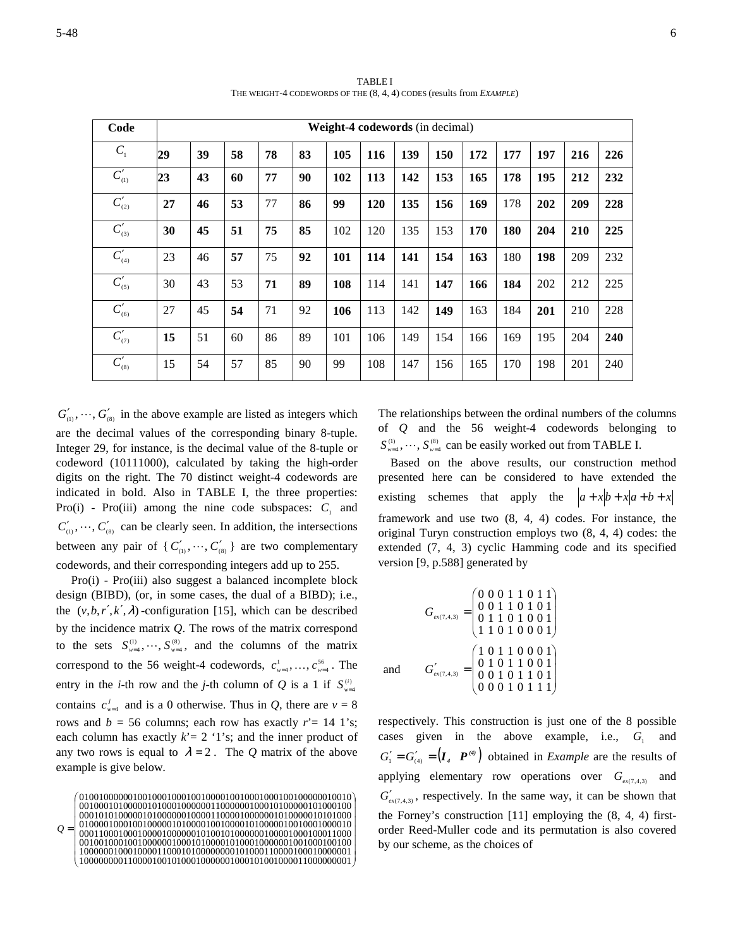| Code                               | Weight-4 codewords (in decimal) |    |    |    |    |     |     |     |     |     |     |     |     |     |
|------------------------------------|---------------------------------|----|----|----|----|-----|-----|-----|-----|-----|-----|-----|-----|-----|
| $C_{1}$                            | 29                              | 39 | 58 | 78 | 83 | 105 | 116 | 139 | 150 | 172 | 177 | 197 | 216 | 226 |
| $C'_{(1)}$                         | 23                              | 43 | 60 | 77 | 90 | 102 | 113 | 142 | 153 | 165 | 178 | 195 | 212 | 232 |
| $C'_{\scriptscriptstyle (2)}$      | 27                              | 46 | 53 | 77 | 86 | 99  | 120 | 135 | 156 | 169 | 178 | 202 | 209 | 228 |
| $C'_{(3)}$                         | 30                              | 45 | 51 | 75 | 85 | 102 | 120 | 135 | 153 | 170 | 180 | 204 | 210 | 225 |
| $C'_{(4)}$                         | 23                              | 46 | 57 | 75 | 92 | 101 | 114 | 141 | 154 | 163 | 180 | 198 | 209 | 232 |
| $C'_{(5)}$                         | 30                              | 43 | 53 | 71 | 89 | 108 | 114 | 141 | 147 | 166 | 184 | 202 | 212 | 225 |
| $C'_{(6)}$                         | 27                              | 45 | 54 | 71 | 92 | 106 | 113 | 142 | 149 | 163 | 184 | 201 | 210 | 228 |
| $C_{\scriptscriptstyle (\gamma)}'$ | 15                              | 51 | 60 | 86 | 89 | 101 | 106 | 149 | 154 | 166 | 169 | 195 | 204 | 240 |
| $C'_{\scriptscriptstyle (8)}$      | 15                              | 54 | 57 | 85 | 90 | 99  | 108 | 147 | 156 | 165 | 170 | 198 | 201 | 240 |

TABLE I THE WEIGHT-4 CODEWORDS OF THE (8, 4, 4) CODES (results from *EXAMPLE*)

 $G'_{(1)}$ ,  $\dots$ ,  $G'_{(8)}$  in the above example are listed as integers which are the decimal values of the corresponding binary 8-tuple. Integer 29, for instance, is the decimal value of the 8-tuple or codeword (10111000), calculated by taking the high-order digits on the right. The 70 distinct weight-4 codewords are indicated in bold. Also in TABLE I, the three properties: Pro(i) - Pro(iii) among the nine code subspaces:  $C_1$  and  $C'_{\alpha}$ ,  $\cdots$ ,  $C'_{\alpha}$  can be clearly seen. In addition, the intersections between any pair of { $C'_{(1)}$ ,  $\cdots$ ,  $C'_{(8)}$ } are two complementary codewords, and their corresponding integers add up to 255.

 Pro(i) - Pro(iii) also suggest a balanced incomplete block design (BIBD), (or, in some cases, the dual of a BIBD); i.e., the  $(v, b, r', k', \lambda)$ -configuration [15], which can be described by the incidence matrix *Q*. The rows of the matrix correspond to the sets  $S_{w=4}^{(1)}, \dots, S_{w=4}^{(8)}$ , and the columns of the matrix correspond to the 56 weight-4 codewords,  $c_{w=4}^1, \ldots, c_{w=4}^{56}$ . The entry in the *i*-th row and the *j*-th column of *Q* is a 1 if  $S_{\nu=4}^{(i)}$ contains  $c_{w=4}^{j}$  and is a 0 otherwise. Thus in *Q*, there are  $v = 8$ rows and  $b = 56$  columns; each row has exactly  $r' = 14$  1's; each column has exactly  $k' = 2$  '1's; and the inner product of any two rows is equal to  $\lambda = 2$ . The *Q* matrix of the above example is give below.

The relationships between the ordinal numbers of the columns of *Q* and the 56 weight-4 codewords belonging to  $S_{\omega=4}^{(1)}, \dots, S_{\omega=4}^{(8)}$  can be easily worked out from TABLE I.

Based on the above results, our construction method presented here can be considered to have extended the existing schemes that apply the  $a + x[b + x(a+b+x)]$ framework and use two (8, 4, 4) codes. For instance, the original Turyn construction employs two (8, 4, 4) codes: the extended (7, 4, 3) cyclic Hamming code and its specified version [9, p.588] generated by

$$
G_{\text{ext}(7,4,3)} = \begin{pmatrix} 0 & 0 & 0 & 1 & 1 & 0 & 1 & 1 \\ 0 & 0 & 1 & 1 & 0 & 1 & 0 & 1 \\ 0 & 1 & 1 & 0 & 1 & 0 & 0 & 1 \\ 1 & 1 & 0 & 1 & 0 & 0 & 0 & 1 \end{pmatrix}
$$
  
and 
$$
G_{\text{ext}(7,4,3)}' = \begin{pmatrix} 1 & 0 & 1 & 1 & 0 & 0 & 0 & 1 \\ 0 & 1 & 0 & 1 & 1 & 0 & 0 & 1 \\ 0 & 0 & 1 & 0 & 1 & 1 & 0 & 1 \\ 0 & 0 & 0 & 1 & 0 & 1 & 1 & 1 \end{pmatrix}
$$

respectively. This construction is just one of the 8 possible cases given in the above example, i.e.,  $G_1$  and  $G'_{1} = G'_{(4)} = (I_{4} \cdot P^{(4)})$  obtained in *Example* are the results of applying elementary row operations over  $G_{\text{ex}(7,4,3)}$  and  $G'_{\text{ex}(7,4,3)}$ , respectively. In the same way, it can be shown that the Forney's construction [11] employing the (8, 4, 4) firstorder Reed-Muller code and its permutation is also covered by our scheme, as the choices of

 $\overline{\phantom{a}}$  $\overline{\phantom{a}}$  $\overline{\phantom{a}}$  $\overline{\phantom{a}}$  $\overline{\phantom{a}}$  $\overline{\phantom{a}}$  01001000000100100010001001000010010001000100100000010010 J 10000000011000010010100010000001000101001000011000000001 10000001000100001100010100000000101000110000100010000001 00100100010010000001000101000010100010000001001000100100 00011000100010000100000010100101000000100001000100011000 L L = *Q* 01000010001001000001010000100100001010000010010001000010 00010101000001010000001000011000010000001010000010101000 00100010100000101000100000011000000100010100000101000100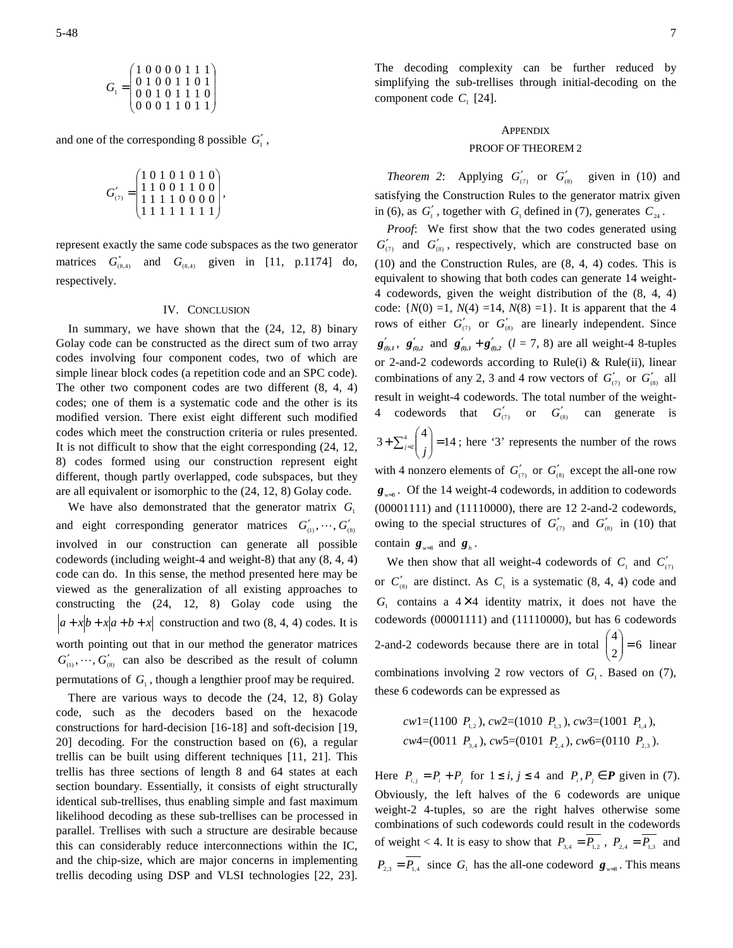$$
G_1 = \begin{pmatrix} 1 & 0 & 0 & 0 & 0 & 1 & 1 & 1 \\ 0 & 1 & 0 & 0 & 1 & 1 & 0 & 1 \\ 0 & 0 & 1 & 0 & 1 & 1 & 1 & 0 \\ 0 & 0 & 0 & 1 & 1 & 0 & 1 & 1 \end{pmatrix}
$$

and one of the corresponding 8 possible  $G'_{1}$ ,

$$
G'_{(7)} = \begin{pmatrix} 1 & 0 & 1 & 0 & 1 & 0 & 1 & 0 \\ 1 & 1 & 0 & 0 & 1 & 1 & 0 & 0 \\ 1 & 1 & 1 & 1 & 0 & 0 & 0 & 0 \\ 1 & 1 & 1 & 1 & 1 & 1 & 1 & 1 \end{pmatrix},
$$

represent exactly the same code subspaces as the two generator matrices  $G^*_{(8,4)}$  and  $G^{}_{(8,4)}$  given in [11, p.1174] do, respectively.

## IV. CONCLUSION

In summary, we have shown that the (24, 12, 8) binary Golay code can be constructed as the direct sum of two array codes involving four component codes, two of which are simple linear block codes (a repetition code and an SPC code). The other two component codes are two different (8, 4, 4) codes; one of them is a systematic code and the other is its modified version. There exist eight different such modified codes which meet the construction criteria or rules presented. It is not difficult to show that the eight corresponding (24, 12, 8) codes formed using our construction represent eight different, though partly overlapped, code subspaces, but they are all equivalent or isomorphic to the (24, 12, 8) Golay code.

We have also demonstrated that the generator matrix  $G_1$ and eight corresponding generator matrices  $G'_{(1)}, \dots, G'_{(8)}$ involved in our construction can generate all possible codewords (including weight-4 and weight-8) that any (8, 4, 4) code can do. In this sense, the method presented here may be viewed as the generalization of all existing approaches to constructing the (24, 12, 8) Golay code using the  $|a+x|b+x|a+b+x|$  construction and two (8, 4, 4) codes. It is worth pointing out that in our method the generator matrices  $G'_{(1)}$ ,  $\cdots$ ,  $G'_{(8)}$  can also be described as the result of column permutations of  $G_1$ , though a lengthier proof may be required.

There are various ways to decode the (24, 12, 8) Golay code, such as the decoders based on the hexacode constructions for hard-decision [16-18] and soft-decision [19, 20] decoding. For the construction based on (6), a regular trellis can be built using different techniques [11, 21]. This trellis has three sections of length 8 and 64 states at each section boundary. Essentially, it consists of eight structurally identical sub-trellises, thus enabling simple and fast maximum likelihood decoding as these sub-trellises can be processed in parallel. Trellises with such a structure are desirable because this can considerably reduce interconnections within the IC, and the chip-size, which are major concerns in implementing trellis decoding using DSP and VLSI technologies [22, 23].

The decoding complexity can be further reduced by simplifying the sub-trellises through initial-decoding on the component code  $C_1$  [24].

#### APPENDIX

#### PROOF OF THEOREM 2

*Theorem* 2: Applying  $G'_{(7)}$  or  $G'_{(8)}$  given in (10) and satisfying the Construction Rules to the generator matrix given in (6), as  $G'_1$ , together with  $G_1$  defined in (7), generates  $C_{24}$ .

*Proof*: We first show that the two codes generated using  $G'_{(7)}$  and  $G'_{(8)}$ , respectively, which are constructed base on (10) and the Construction Rules, are (8, 4, 4) codes. This is equivalent to showing that both codes can generate 14 weight-4 codewords, given the weight distribution of the (8, 4, 4) code:  $\{N(0) =1, N(4) =14, N(8) =1\}$ . It is apparent that the 4 rows of either  $G'_{(7)}$  or  $G'_{(8)}$  are linearly independent. Since  $g'_{(0,1)}$ ,  $g'_{(0,2)}$  and  $g'_{(0,1)} + g'_{(0,2)}$   $(l = 7, 8)$  are all weight-4 8-tuples or 2-and-2 codewords according to Rule(i) & Rule(ii), linear combinations of any 2, 3 and 4 row vectors of  $G'_{(7)}$  or  $G'_{(8)}$  all result in weight-4 codewords. The total number of the weight-4 codewords that  $G'_{(7)}$  or  $G'_{(8)}$  can generate is  $3 + \sum_{j=2}^{4} \binom{4}{j} = 14$  $\backslash$ 

J  $\overline{\phantom{a}}$ l  $+\sum_{j=2}^{4} \binom{4}{j} = 14$ ; here '3' represents the number of the rows with 4 nonzero elements of  $G'_{(7)}$  or  $G'_{(8)}$  except the all-one row *w*=8 *g* . Of the 14 weight-4 codewords, in addition to codewords (00001111) and (11110000), there are 12 2-and-2 codewords, owing to the special structures of  $G'_{(7)}$  and  $G'_{(8)}$  in (10) that contain  $g_{w=8}$  and  $g_{h}$ .

We then show that all weight-4 codewords of  $C_1$  and  $C_2'$ or  $C'_{(8)}$  are distinct. As  $C_1$  is a systematic  $(8, 4, 4)$  code and  $G<sub>1</sub>$  contains a  $4 \times 4$  identity matrix, it does not have the codewords (00001111) and (11110000), but has 6 codewords 2-and-2 codewords because there are in total  $\begin{bmatrix} 1 \\ 2 \end{bmatrix} = 6$  $\binom{4}{2}$ J  $\backslash$  $\overline{\phantom{a}}$ ∖ ſ linear combinations involving 2 row vectors of  $G<sub>1</sub>$ . Based on (7), these 6 codewords can be expressed as

$$
cw1=(1100 P_{1,2}), cw2=(1010 P_{1,3}), cw3=(1001 P_{1,4}),cw4=(0011 P_{3,4}), cw5=(0101 P_{2,4}), cw6=(0110 P_{2,3}).
$$

Here  $P_{i,j} = P_i + P_j$  for  $1 \le i, j \le 4$  and  $P_i, P_j \in \mathbf{P}$  given in (7). Obviously, the left halves of the 6 codewords are unique weight-2 4-tuples, so are the right halves otherwise some combinations of such codewords could result in the codewords of weight < 4. It is easy to show that  $P_{3,4} = P_{1,2}$ ,  $P_{2,4} = P_{1,3}$  and  $P_{2,3} = P_{1,4}$  since  $G_1$  has the all-one codeword  $g_{w=8}$ . This means